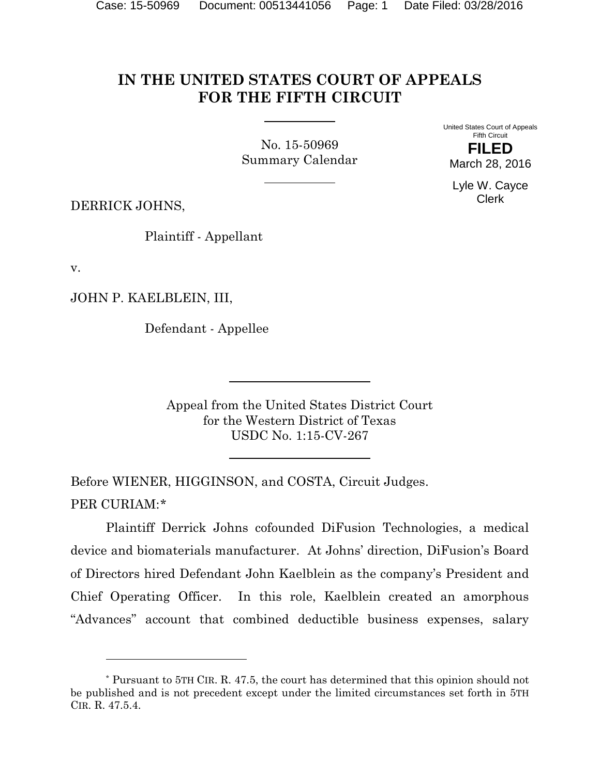## **IN THE UNITED STATES COURT OF APPEALS FOR THE FIFTH CIRCUIT**

No. 15-50969 Summary Calendar United States Court of Appeals Fifth Circuit **FILED** March 28, 2016

Lyle W. Cayce Clerk

DERRICK JOHNS,

Plaintiff - Appellant

v.

l

JOHN P. KAELBLEIN, III,

Defendant - Appellee

Appeal from the United States District Court for the Western District of Texas USDC No. 1:15-CV-267

Before WIENER, HIGGINSON, and COSTA, Circuit Judges. PER CURIAM:[\\*](#page-0-0)

Plaintiff Derrick Johns cofounded DiFusion Technologies, a medical device and biomaterials manufacturer. At Johns' direction, DiFusion's Board of Directors hired Defendant John Kaelblein as the company's President and Chief Operating Officer. In this role, Kaelblein created an amorphous "Advances" account that combined deductible business expenses, salary

<span id="page-0-0"></span><sup>\*</sup> Pursuant to 5TH CIR. R. 47.5, the court has determined that this opinion should not be published and is not precedent except under the limited circumstances set forth in 5TH CIR. R. 47.5.4.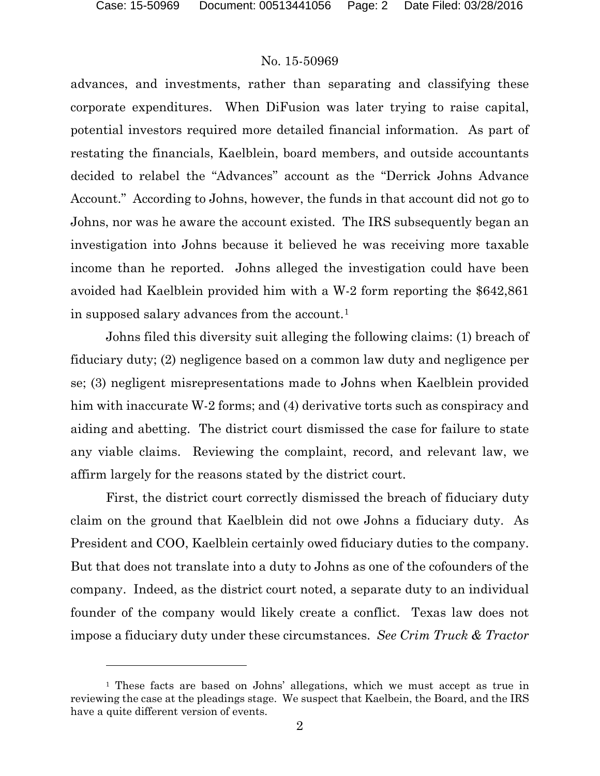$\overline{a}$ 

## No. 15-50969

advances, and investments, rather than separating and classifying these corporate expenditures. When DiFusion was later trying to raise capital, potential investors required more detailed financial information. As part of restating the financials, Kaelblein, board members, and outside accountants decided to relabel the "Advances" account as the "Derrick Johns Advance Account." According to Johns, however, the funds in that account did not go to Johns, nor was he aware the account existed. The IRS subsequently began an investigation into Johns because it believed he was receiving more taxable income than he reported. Johns alleged the investigation could have been avoided had Kaelblein provided him with a W-2 form reporting the \$642,861 in supposed salary advances from the account.[1](#page-1-0)

Johns filed this diversity suit alleging the following claims: (1) breach of fiduciary duty; (2) negligence based on a common law duty and negligence per se; (3) negligent misrepresentations made to Johns when Kaelblein provided him with inaccurate W-2 forms; and (4) derivative torts such as conspiracy and aiding and abetting. The district court dismissed the case for failure to state any viable claims. Reviewing the complaint, record, and relevant law, we affirm largely for the reasons stated by the district court.

First, the district court correctly dismissed the breach of fiduciary duty claim on the ground that Kaelblein did not owe Johns a fiduciary duty. As President and COO, Kaelblein certainly owed fiduciary duties to the company. But that does not translate into a duty to Johns as one of the cofounders of the company. Indeed, as the district court noted, a separate duty to an individual founder of the company would likely create a conflict. Texas law does not impose a fiduciary duty under these circumstances. *See Crim Truck & Tractor* 

<span id="page-1-0"></span><sup>1</sup> These facts are based on Johns' allegations, which we must accept as true in reviewing the case at the pleadings stage. We suspect that Kaelbein, the Board, and the IRS have a quite different version of events.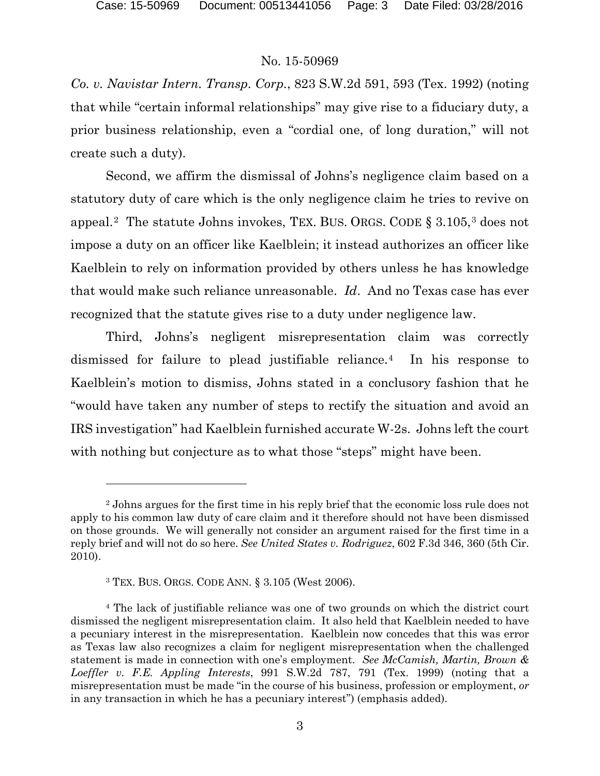l

## No. 15-50969

*Co. v. Navistar Intern. Transp. Corp.*, 823 S.W.2d 591, 593 (Tex. 1992) (noting that while "certain informal relationships" may give rise to a fiduciary duty, a prior business relationship, even a "cordial one, of long duration," will not create such a duty).

Second, we affirm the dismissal of Johns's negligence claim based on a statutory duty of care which is the only negligence claim he tries to revive on appeal.<sup>2</sup> The statute Johns invokes, TEX. BUS. ORGS. CODE  $\S 3.105$  $\S 3.105$  $\S 3.105$ ,<sup>3</sup> does not impose a duty on an officer like Kaelblein; it instead authorizes an officer like Kaelblein to rely on information provided by others unless he has knowledge that would make such reliance unreasonable. *Id*. And no Texas case has ever recognized that the statute gives rise to a duty under negligence law.

Third, Johns's negligent misrepresentation claim was correctly dismissed for failure to plead justifiable reliance.[4](#page-2-2) In his response to Kaelblein's motion to dismiss, Johns stated in a conclusory fashion that he "would have taken any number of steps to rectify the situation and avoid an IRS investigation" had Kaelblein furnished accurate W-2s. Johns left the court with nothing but conjecture as to what those "steps" might have been.

<span id="page-2-0"></span><sup>&</sup>lt;sup>2</sup> Johns argues for the first time in his reply brief that the economic loss rule does not apply to his common law duty of care claim and it therefore should not have been dismissed on those grounds. We will generally not consider an argument raised for the first time in a reply brief and will not do so here. *See United States v. Rodriguez*, 602 F.3d 346, 360 (5th Cir. 2010).

<sup>3</sup> TEX. BUS. ORGS. CODE ANN. § 3.105 (West 2006).

<span id="page-2-2"></span><span id="page-2-1"></span><sup>4</sup> The lack of justifiable reliance was one of two grounds on which the district court dismissed the negligent misrepresentation claim. It also held that Kaelblein needed to have a pecuniary interest in the misrepresentation. Kaelblein now concedes that this was error as Texas law also recognizes a claim for negligent misrepresentation when the challenged statement is made in connection with one's employment. *See McCamish, Martin, Brown & Loeffler v. F.E. Appling Interests*, 991 S.W.2d 787, 791 (Tex. 1999) (noting that a misrepresentation must be made "in the course of his business, profession or employment, *or* in any transaction in which he has a pecuniary interest") (emphasis added).